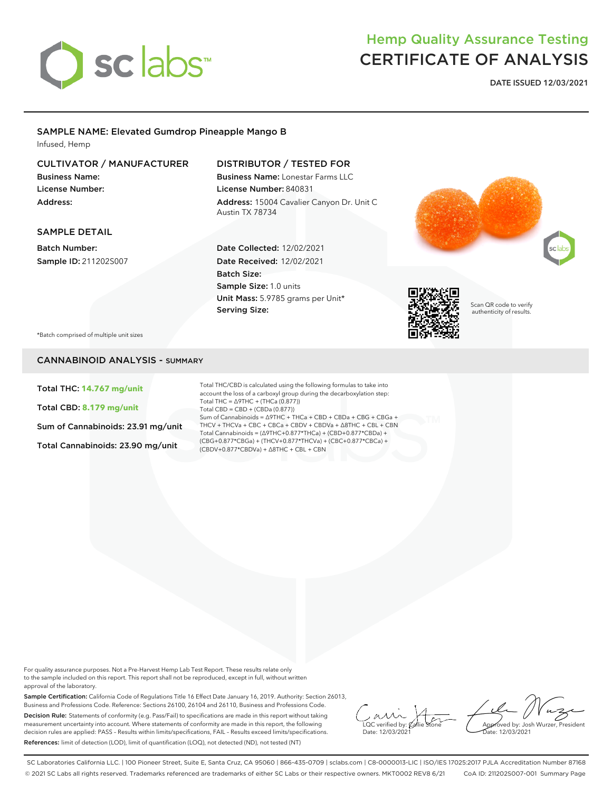

## Hemp Quality Assurance Testing CERTIFICATE OF ANALYSIS

**DATE ISSUED 12/03/2021**

### SAMPLE NAME: Elevated Gumdrop Pineapple Mango B

Infused, Hemp

#### CULTIVATOR / MANUFACTURER

Business Name: License Number: Address:

SAMPLE DETAIL Batch Number: Sample ID: 211202S007

#### DISTRIBUTOR / TESTED FOR

Date Collected: 12/02/2021 Date Received: 12/02/2021

Unit Mass: 5.9785 grams per Unit\*

Sample Size: 1.0 units

Batch Size:

Serving Size:

Business Name: Lonestar Farms LLC License Number: 840831 Address: 15004 Cavalier Canyon Dr. Unit C Austin TX 78734





Scan QR code to verify authenticity of results.

\*Batch comprised of multiple unit sizes

#### CANNABINOID ANALYSIS - SUMMARY

Total THC: **14.767 mg/unit**

Total CBD: **8.179 mg/unit**

Sum of Cannabinoids: 23.91 mg/unit

Total Cannabinoids: 23.90 mg/unit

Total THC/CBD is calculated using the following formulas to take into account the loss of a carboxyl group during the decarboxylation step: Total THC = ∆9THC + (THCa (0.877)) Total CBD = CBD + (CBDa (0.877)) Sum of Cannabinoids = ∆9THC + THCa + CBD + CBDa + CBG + CBGa + THCV + THCVa + CBC + CBCa + CBDV + CBDVa + ∆8THC + CBL + CBN Total Cannabinoids = (∆9THC+0.877\*THCa) + (CBD+0.877\*CBDa) + (CBG+0.877\*CBGa) + (THCV+0.877\*THCVa) + (CBC+0.877\*CBCa) + (CBDV+0.877\*CBDVa) + ∆8THC + CBL + CBN

For quality assurance purposes. Not a Pre-Harvest Hemp Lab Test Report. These results relate only to the sample included on this report. This report shall not be reproduced, except in full, without written approval of the laboratory.

Sample Certification: California Code of Regulations Title 16 Effect Date January 16, 2019. Authority: Section 26013, Business and Professions Code. Reference: Sections 26100, 26104 and 26110, Business and Professions Code. Decision Rule: Statements of conformity (e.g. Pass/Fail) to specifications are made in this report without taking measurement uncertainty into account. Where statements of conformity are made in this report, the following decision rules are applied: PASS – Results within limits/specifications, FAIL – Results exceed limits/specifications. References: limit of detection (LOD), limit of quantification (LOQ), not detected (ND), not tested (NT)

 $\overline{\text{LOC}}$  verified by:  $\mathcal C$ Date: 12/03/2021

Approved by: Josh Wurzer, President Date: 12/03/2021

SC Laboratories California LLC. | 100 Pioneer Street, Suite E, Santa Cruz, CA 95060 | 866-435-0709 | sclabs.com | C8-0000013-LIC | ISO/IES 17025:2017 PJLA Accreditation Number 87168 © 2021 SC Labs all rights reserved. Trademarks referenced are trademarks of either SC Labs or their respective owners. MKT0002 REV8 6/21 CoA ID: 211202S007-001 Summary Page